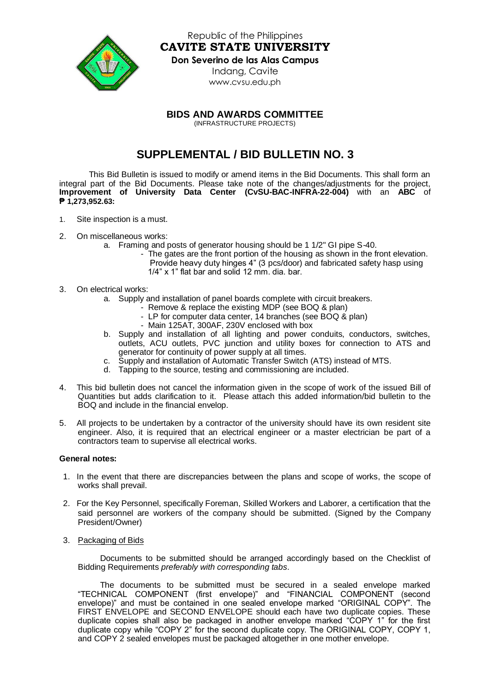

Republic of the Philippines **CAVITE STATE UNIVERSITY Don Severino de las Alas Campus** Indang, Cavite [www.cvsu.edu.ph](http://www.cvsu.edu.ph/)

**BIDS AND AWARDS COMMITTEE**

(INFRASTRUCTURE PROJECTS)

## **SUPPLEMENTAL / BID BULLETIN NO. 3**

This Bid Bulletin is issued to modify or amend items in the Bid Documents. This shall form an integral part of the Bid Documents. Please take note of the changes/adjustments for the project, **Improvement of University Data Center (CvSU-BAC-INFRA-22-004)** with an **ABC** of **₱ 1,273,952.63:**

- 1. Site inspection is a must.
- 2. On miscellaneous works:
	- a. Framing and posts of generator housing should be 1 1/2" GI pipe S-40.
		- The gates are the front portion of the housing as shown in the front elevation. Provide heavy duty hinges 4" (3 pcs/door) and fabricated safety hasp using 1/4" x 1" flat bar and solid 12 mm. dia. bar.
- 3. On electrical works:
	- a. Supply and installation of panel boards complete with circuit breakers.
		- Remove & replace the existing MDP (see BOQ & plan)
		- LP for computer data center, 14 branches (see BOQ & plan)
		- Main 125AT, 300AF, 230V enclosed with box
	- b. Supply and installation of all lighting and power conduits, conductors, switches, outlets, ACU outlets, PVC junction and utility boxes for connection to ATS and generator for continuity of power supply at all times.
	- c. Supply and installation of Automatic Transfer Switch (ATS) instead of MTS.
	- d. Tapping to the source, testing and commissioning are included.
- 4. This bid bulletin does not cancel the information given in the scope of work of the issued Bill of Quantities but adds clarification to it. Please attach this added information/bid bulletin to the BOQ and include in the financial envelop.
- 5. All projects to be undertaken by a contractor of the university should have its own resident site engineer. Also, it is required that an electrical engineer or a master electrician be part of a contractors team to supervise all electrical works.

## **General notes:**

- 1. In the event that there are discrepancies between the plans and scope of works, the scope of works shall prevail.
- 2. For the Key Personnel, specifically Foreman, Skilled Workers and Laborer, a certification that the said personnel are workers of the company should be submitted. (Signed by the Company President/Owner)
- 3. Packaging of Bids

Documents to be submitted should be arranged accordingly based on the Checklist of Bidding Requirements *preferably with corresponding tabs*.

The documents to be submitted must be secured in a sealed envelope marked "TECHNICAL COMPONENT (first envelope)" and "FINANCIAL COMPONENT (second envelope)" and must be contained in one sealed envelope marked "ORIGINAL COPY". The FIRST ENVELOPE and SECOND ENVELOPE should each have two duplicate copies. These duplicate copies shall also be packaged in another envelope marked "COPY 1" for the first duplicate copy while "COPY 2" for the second duplicate copy. The ORIGINAL COPY, COPY 1, and COPY 2 sealed envelopes must be packaged altogether in one mother envelope.